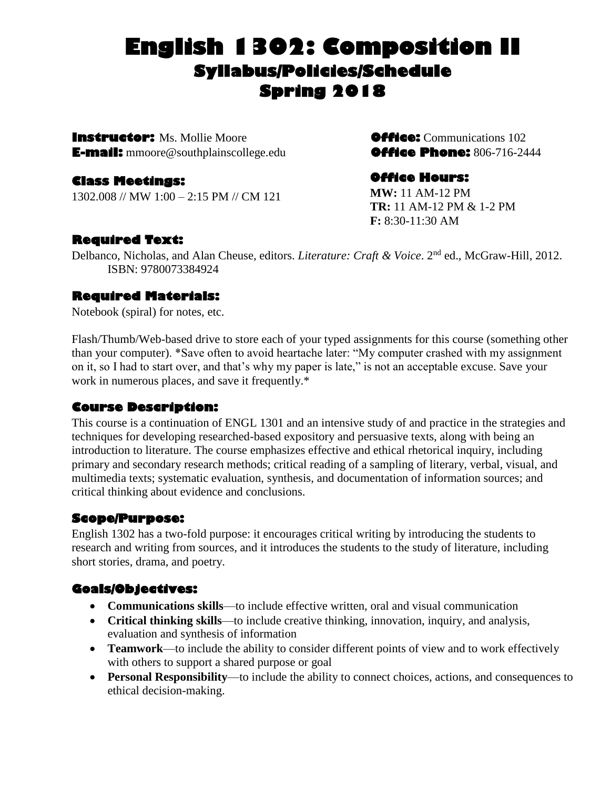# **English 1302: Composition II Syllabus/Policies/Schedule Spring 2018**

**Instructor:** Ms. Mollie Moore**Office:** Communications 102 **E-mail:** mmoore@southplainscollege.edu**Office Phone:** 806-716-2444

## **Class Meetings:**

1302.008 // MW 1:00 – 2:15 PM // CM 121

## **Office Hours:**

**MW:** 11 AM-12 PM **TR:** 11 AM-12 PM & 1-2 PM **F:** 8:30-11:30 AM

## **Required Text:**

Delbanco, Nicholas, and Alan Cheuse, editors. *Literature: Craft & Voice*. 2nd ed., McGraw-Hill, 2012. ISBN: 9780073384924

## **Required Materials:**

Notebook (spiral) for notes, etc.

Flash/Thumb/Web-based drive to store each of your typed assignments for this course (something other than your computer). \*Save often to avoid heartache later: "My computer crashed with my assignment on it, so I had to start over, and that's why my paper is late," is not an acceptable excuse. Save your work in numerous places, and save it frequently.\*

## **Course Description:**

This course is a continuation of ENGL 1301 and an intensive study of and practice in the strategies and techniques for developing researched-based expository and persuasive texts, along with being an introduction to literature. The course emphasizes effective and ethical rhetorical inquiry, including primary and secondary research methods; critical reading of a sampling of literary, verbal, visual, and multimedia texts; systematic evaluation, synthesis, and documentation of information sources; and critical thinking about evidence and conclusions.

#### **Scope/Purpose:**

English 1302 has a two-fold purpose: it encourages critical writing by introducing the students to research and writing from sources, and it introduces the students to the study of literature, including short stories, drama, and poetry.

## **Goals/Objectives:**

- **Communications skills**—to include effective written, oral and visual communication
- **Critical thinking skills**—to include creative thinking, innovation, inquiry, and analysis, evaluation and synthesis of information
- **Teamwork**—to include the ability to consider different points of view and to work effectively with others to support a shared purpose or goal
- **Personal Responsibility**—to include the ability to connect choices, actions, and consequences to ethical decision-making.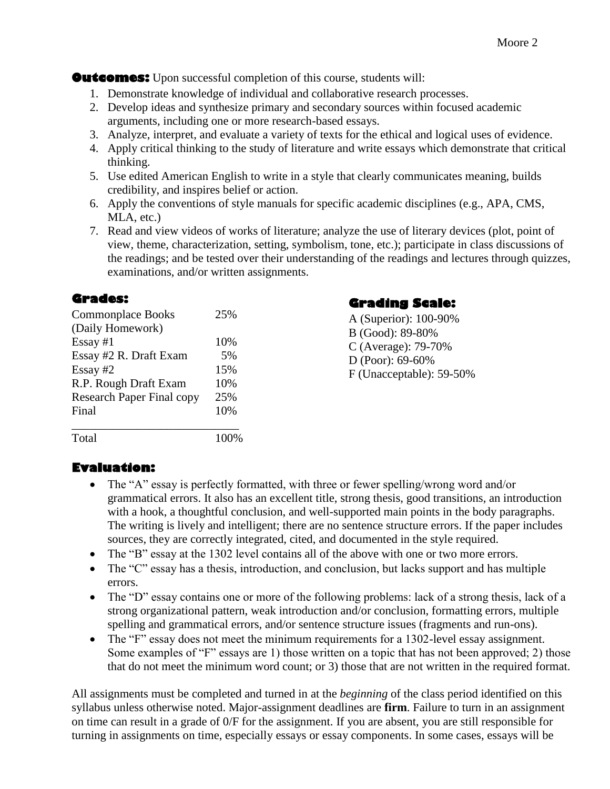**Outcomes:** Upon successful completion of this course, students will:

- 1. Demonstrate knowledge of individual and collaborative research processes.
- 2. Develop ideas and synthesize primary and secondary sources within focused academic arguments, including one or more research-based essays.
- 3. Analyze, interpret, and evaluate a variety of texts for the ethical and logical uses of evidence.
- 4. Apply critical thinking to the study of literature and write essays which demonstrate that critical thinking.
- 5. Use edited American English to write in a style that clearly communicates meaning, builds credibility, and inspires belief or action.
- 6. Apply the conventions of style manuals for specific academic disciplines (e.g., APA, CMS, MLA, etc.)
- 7. Read and view videos of works of literature; analyze the use of literary devices (plot, point of view, theme, characterization, setting, symbolism, tone, etc.); participate in class discussions of the readings; and be tested over their understanding of the readings and lectures through quizzes, examinations, and/or written assignments.

#### **Grades:**

| <b>Commonplace Books</b>         | 25% |
|----------------------------------|-----|
| (Daily Homework)                 |     |
| $Essay \#1$                      | 10% |
| Essay #2 R. Draft Exam           | 5%  |
| Essay $#2$                       | 15% |
| R.P. Rough Draft Exam            | 10% |
| <b>Research Paper Final copy</b> | 25% |
| Final                            | 10% |
|                                  |     |

Total 100%

## **Grading Scale:**

A (Superior): 100-90% B (Good): 89-80% C (Average): 79-70% D (Poor): 69-60% F (Unacceptable): 59-50%

## **Evaluation:**

- The "A" essay is perfectly formatted, with three or fewer spelling/wrong word and/or grammatical errors. It also has an excellent title, strong thesis, good transitions, an introduction with a hook, a thoughtful conclusion, and well-supported main points in the body paragraphs. The writing is lively and intelligent; there are no sentence structure errors. If the paper includes sources, they are correctly integrated, cited, and documented in the style required.
- The "B" essay at the 1302 level contains all of the above with one or two more errors.
- The "C" essay has a thesis, introduction, and conclusion, but lacks support and has multiple errors.
- The "D" essay contains one or more of the following problems: lack of a strong thesis, lack of a strong organizational pattern, weak introduction and/or conclusion, formatting errors, multiple spelling and grammatical errors, and/or sentence structure issues (fragments and run-ons).
- The "F" essay does not meet the minimum requirements for a 1302-level essay assignment. Some examples of "F" essays are 1) those written on a topic that has not been approved; 2) those that do not meet the minimum word count; or 3) those that are not written in the required format.

All assignments must be completed and turned in at the *beginning* of the class period identified on this syllabus unless otherwise noted. Major-assignment deadlines are **firm**. Failure to turn in an assignment on time can result in a grade of 0/F for the assignment. If you are absent, you are still responsible for turning in assignments on time, especially essays or essay components. In some cases, essays will be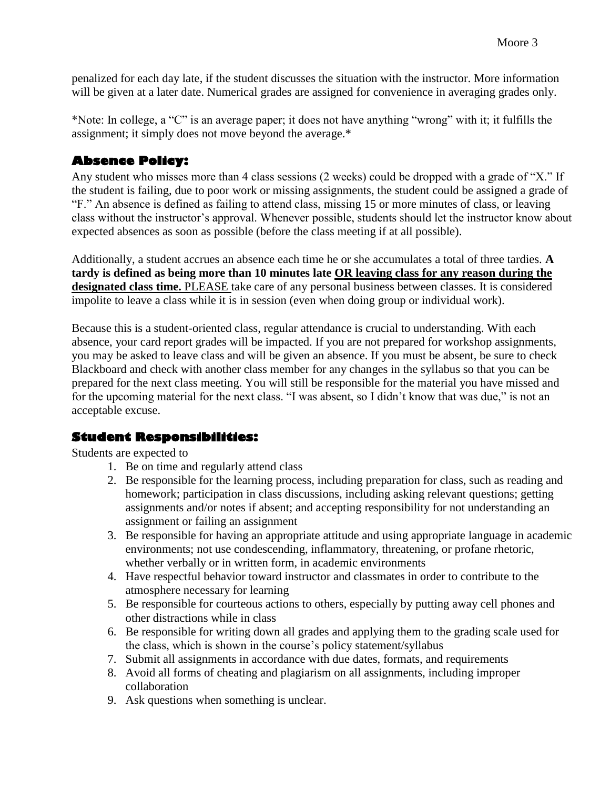penalized for each day late, if the student discusses the situation with the instructor. More information will be given at a later date. Numerical grades are assigned for convenience in averaging grades only.

\*Note: In college, a "C" is an average paper; it does not have anything "wrong" with it; it fulfills the assignment; it simply does not move beyond the average.\*

## **Absence Policy:**

Any student who misses more than 4 class sessions (2 weeks) could be dropped with a grade of "X." If the student is failing, due to poor work or missing assignments, the student could be assigned a grade of "F." An absence is defined as failing to attend class, missing 15 or more minutes of class, or leaving class without the instructor's approval. Whenever possible, students should let the instructor know about expected absences as soon as possible (before the class meeting if at all possible).

Additionally, a student accrues an absence each time he or she accumulates a total of three tardies. **A tardy is defined as being more than 10 minutes late OR leaving class for any reason during the designated class time.** PLEASE take care of any personal business between classes. It is considered impolite to leave a class while it is in session (even when doing group or individual work).

Because this is a student-oriented class, regular attendance is crucial to understanding. With each absence, your card report grades will be impacted. If you are not prepared for workshop assignments, you may be asked to leave class and will be given an absence. If you must be absent, be sure to check Blackboard and check with another class member for any changes in the syllabus so that you can be prepared for the next class meeting. You will still be responsible for the material you have missed and for the upcoming material for the next class. "I was absent, so I didn't know that was due," is not an acceptable excuse.

## **Student Responsibilities:**

Students are expected to

- 1. Be on time and regularly attend class
- 2. Be responsible for the learning process, including preparation for class, such as reading and homework; participation in class discussions, including asking relevant questions; getting assignments and/or notes if absent; and accepting responsibility for not understanding an assignment or failing an assignment
- 3. Be responsible for having an appropriate attitude and using appropriate language in academic environments; not use condescending, inflammatory, threatening, or profane rhetoric, whether verbally or in written form, in academic environments
- 4. Have respectful behavior toward instructor and classmates in order to contribute to the atmosphere necessary for learning
- 5. Be responsible for courteous actions to others, especially by putting away cell phones and other distractions while in class
- 6. Be responsible for writing down all grades and applying them to the grading scale used for the class, which is shown in the course's policy statement/syllabus
- 7. Submit all assignments in accordance with due dates, formats, and requirements
- 8. Avoid all forms of cheating and plagiarism on all assignments, including improper collaboration
- 9. Ask questions when something is unclear.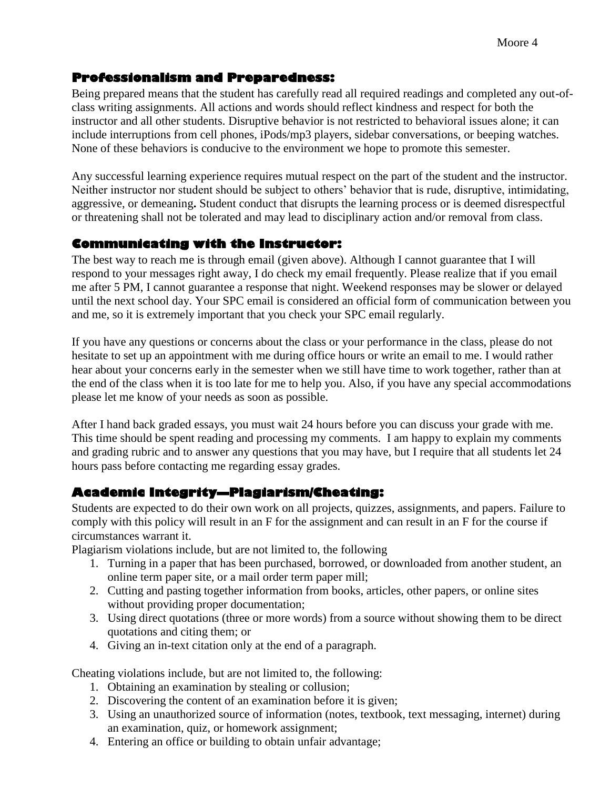## **Professionalism and Preparedness:**

Being prepared means that the student has carefully read all required readings and completed any out-ofclass writing assignments. All actions and words should reflect kindness and respect for both the instructor and all other students. Disruptive behavior is not restricted to behavioral issues alone; it can include interruptions from cell phones, iPods/mp3 players, sidebar conversations, or beeping watches. None of these behaviors is conducive to the environment we hope to promote this semester.

Any successful learning experience requires mutual respect on the part of the student and the instructor. Neither instructor nor student should be subject to others' behavior that is rude, disruptive, intimidating, aggressive, or demeaning**.** Student conduct that disrupts the learning process or is deemed disrespectful or threatening shall not be tolerated and may lead to disciplinary action and/or removal from class.

## **Communicating with the Instructor:**

The best way to reach me is through email (given above). Although I cannot guarantee that I will respond to your messages right away, I do check my email frequently. Please realize that if you email me after 5 PM, I cannot guarantee a response that night. Weekend responses may be slower or delayed until the next school day. Your SPC email is considered an official form of communication between you and me, so it is extremely important that you check your SPC email regularly.

If you have any questions or concerns about the class or your performance in the class, please do not hesitate to set up an appointment with me during office hours or write an email to me. I would rather hear about your concerns early in the semester when we still have time to work together, rather than at the end of the class when it is too late for me to help you. Also, if you have any special accommodations please let me know of your needs as soon as possible.

After I hand back graded essays, you must wait 24 hours before you can discuss your grade with me. This time should be spent reading and processing my comments. I am happy to explain my comments and grading rubric and to answer any questions that you may have, but I require that all students let 24 hours pass before contacting me regarding essay grades.

## **Academic Integrity—Plagiarism/Cheating:**

Students are expected to do their own work on all projects, quizzes, assignments, and papers. Failure to comply with this policy will result in an F for the assignment and can result in an F for the course if circumstances warrant it.

Plagiarism violations include, but are not limited to, the following

- 1. Turning in a paper that has been purchased, borrowed, or downloaded from another student, an online term paper site, or a mail order term paper mill;
- 2. Cutting and pasting together information from books, articles, other papers, or online sites without providing proper documentation;
- 3. Using direct quotations (three or more words) from a source without showing them to be direct quotations and citing them; or
- 4. Giving an in-text citation only at the end of a paragraph.

Cheating violations include, but are not limited to, the following:

- 1. Obtaining an examination by stealing or collusion;
- 2. Discovering the content of an examination before it is given;
- 3. Using an unauthorized source of information (notes, textbook, text messaging, internet) during an examination, quiz, or homework assignment;
- 4. Entering an office or building to obtain unfair advantage;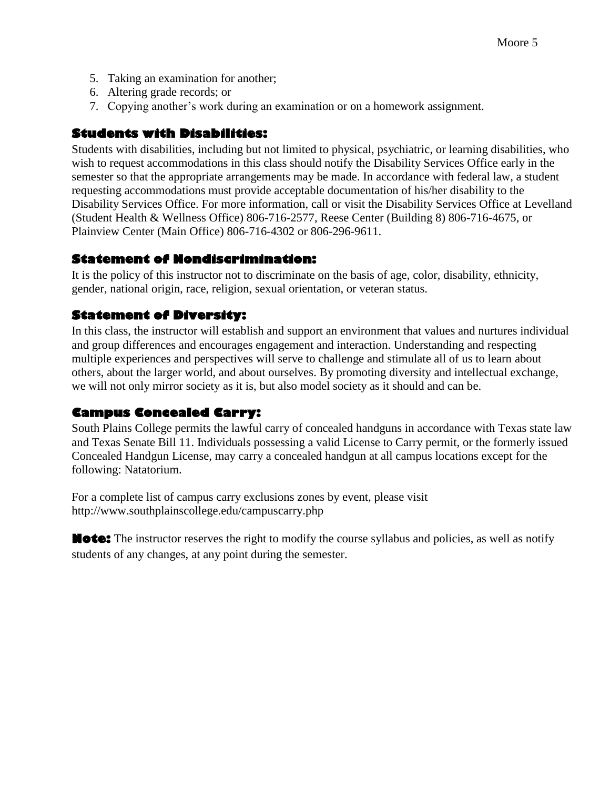- 5. Taking an examination for another;
- 6. Altering grade records; or
- 7. Copying another's work during an examination or on a homework assignment.

## **Students with Disabilities:**

Students with disabilities, including but not limited to physical, psychiatric, or learning disabilities, who wish to request accommodations in this class should notify the Disability Services Office early in the semester so that the appropriate arrangements may be made. In accordance with federal law, a student requesting accommodations must provide acceptable documentation of his/her disability to the Disability Services Office. For more information, call or visit the Disability Services Office at Levelland (Student Health & Wellness Office) 806-716-2577, Reese Center (Building 8) 806-716-4675, or Plainview Center (Main Office) 806-716-4302 or 806-296-9611.

## **Statement of Nondiscrimination:**

It is the policy of this instructor not to discriminate on the basis of age, color, disability, ethnicity, gender, national origin, race, religion, sexual orientation, or veteran status.

## **Statement of Diversity:**

In this class, the instructor will establish and support an environment that values and nurtures individual and group differences and encourages engagement and interaction. Understanding and respecting multiple experiences and perspectives will serve to challenge and stimulate all of us to learn about others, about the larger world, and about ourselves. By promoting diversity and intellectual exchange, we will not only mirror society as it is, but also model society as it should and can be.

## **Campus Concealed Carry:**

South Plains College permits the lawful carry of concealed handguns in accordance with Texas state law and Texas Senate Bill 11. Individuals possessing a valid License to Carry permit, or the formerly issued Concealed Handgun License, may carry a concealed handgun at all campus locations except for the following: Natatorium.

For a complete list of campus carry exclusions zones by event, please visit http://www.southplainscollege.edu/campuscarry.php

**Note:** The instructor reserves the right to modify the course syllabus and policies, as well as notify students of any changes, at any point during the semester.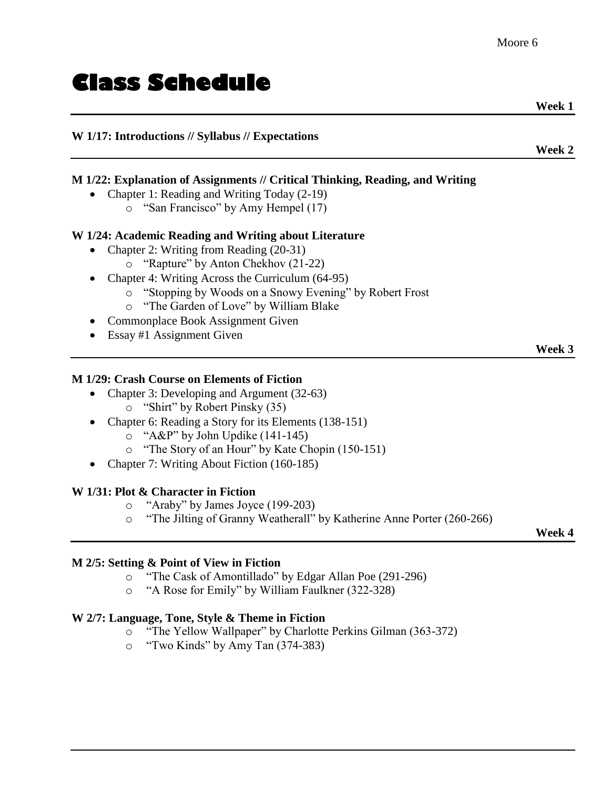# **Class Schedule**

## **W 1/17: Introductions // Syllabus // Expectations**

## **M 1/22: Explanation of Assignments // Critical Thinking, Reading, and Writing**

- Chapter 1: Reading and Writing Today (2-19)
	- o "San Francisco" by Amy Hempel (17)

#### **W 1/24: Academic Reading and Writing about Literature**

- Chapter 2: Writing from Reading (20-31)
	- o "Rapture" by Anton Chekhov (21-22)
- Chapter 4: Writing Across the Curriculum (64-95)
	- o "Stopping by Woods on a Snowy Evening" by Robert Frost
		- o "The Garden of Love" by William Blake
- Commonplace Book Assignment Given
- Essay #1 Assignment Given

#### **M 1/29: Crash Course on Elements of Fiction**

- Chapter 3: Developing and Argument (32-63) o "Shirt" by Robert Pinsky (35)
- Chapter 6: Reading a Story for its Elements (138-151)
	- o "A&P" by John Updike (141-145)
	- o "The Story of an Hour" by Kate Chopin (150-151)
- Chapter 7: Writing About Fiction (160-185)

#### **W 1/31: Plot & Character in Fiction**

- o "Araby" by James Joyce (199-203)
- o "The Jilting of Granny Weatherall" by Katherine Anne Porter (260-266)

## **Week 4**

**Week 3**

#### **M 2/5: Setting & Point of View in Fiction**

- o "The Cask of Amontillado" by Edgar Allan Poe (291-296)
- o "A Rose for Emily" by William Faulkner (322-328)

#### **W 2/7: Language, Tone, Style & Theme in Fiction**

- o "The Yellow Wallpaper" by Charlotte Perkins Gilman (363-372)
- o "Two Kinds" by Amy Tan (374-383)

 **Week 1**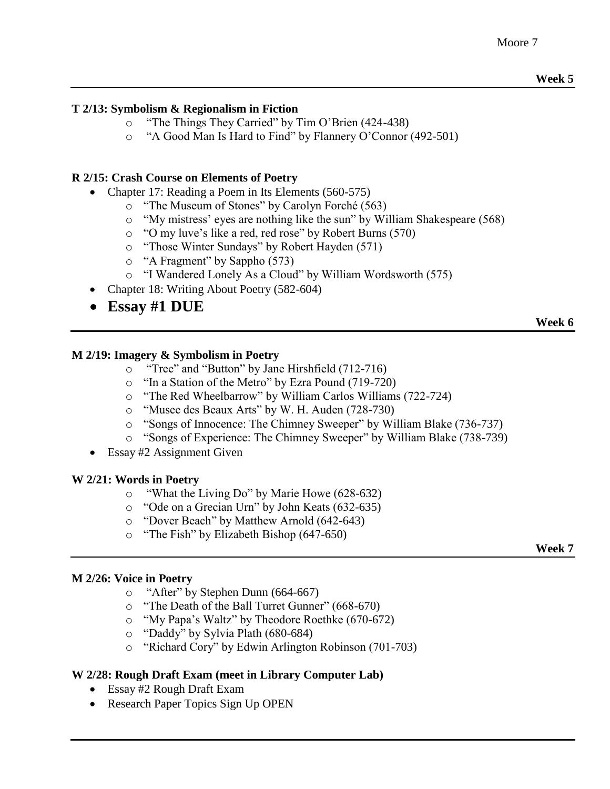#### **T 2/13: Symbolism & Regionalism in Fiction**

- o "The Things They Carried" by Tim O'Brien (424-438)
- o "A Good Man Is Hard to Find" by Flannery O'Connor (492-501)

#### **R 2/15: Crash Course on Elements of Poetry**

- Chapter 17: Reading a Poem in Its Elements (560-575)
	- o "The Museum of Stones" by Carolyn Forché (563)
	- o "My mistress' eyes are nothing like the sun" by William Shakespeare (568)
	- o "O my luve's like a red, red rose" by Robert Burns (570)
	- o "Those Winter Sundays" by Robert Hayden (571)
	- o "A Fragment" by Sappho (573)
	- o "I Wandered Lonely As a Cloud" by William Wordsworth (575)
- Chapter 18: Writing About Poetry (582-604)
- **Essay #1 DUE**

#### **Week 6**

#### **M 2/19: Imagery & Symbolism in Poetry**

- o "Tree" and "Button" by Jane Hirshfield (712-716)
- o "In a Station of the Metro" by Ezra Pound (719-720)
- o "The Red Wheelbarrow" by William Carlos Williams (722-724)
- o "Musee des Beaux Arts" by W. H. Auden (728-730)
- o "Songs of Innocence: The Chimney Sweeper" by William Blake (736-737)
- o "Songs of Experience: The Chimney Sweeper" by William Blake (738-739)
- Essay #2 Assignment Given

#### **W 2/21: Words in Poetry**

- o "What the Living Do" by Marie Howe (628-632)
- o "Ode on a Grecian Urn" by John Keats (632-635)
- o "Dover Beach" by Matthew Arnold (642-643)
- o "The Fish" by Elizabeth Bishop (647-650)

**Week 7**

#### **M 2/26: Voice in Poetry**

- o "After" by Stephen Dunn (664-667)
- o "The Death of the Ball Turret Gunner" (668-670)
- o "My Papa's Waltz" by Theodore Roethke (670-672)
- o "Daddy" by Sylvia Plath (680-684)
- o "Richard Cory" by Edwin Arlington Robinson (701-703)

#### **W 2/28: Rough Draft Exam (meet in Library Computer Lab)**

- Essay #2 Rough Draft Exam
- Research Paper Topics Sign Up OPEN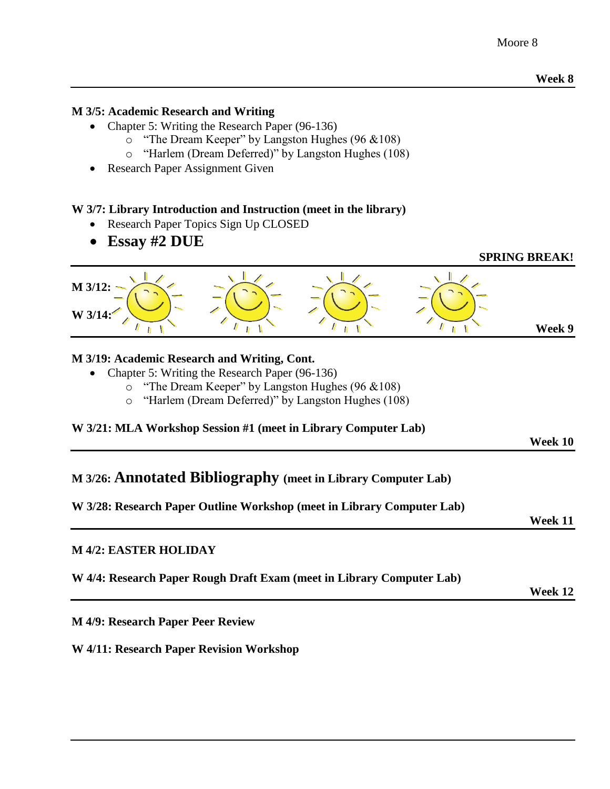#### **M 3/5: Academic Research and Writing**

- Chapter 5: Writing the Research Paper (96-136)
	- o "The Dream Keeper" by Langston Hughes (96 &108)
	- o "Harlem (Dream Deferred)" by Langston Hughes (108)
- Research Paper Assignment Given

#### **W 3/7: Library Introduction and Instruction (meet in the library)**

- Research Paper Topics Sign Up CLOSED
- **Essay #2 DUE**

#### **SPRING BREAK!**



#### **M 3/19: Academic Research and Writing, Cont.**

- Chapter 5: Writing the Research Paper (96-136)
	- o "The Dream Keeper" by Langston Hughes (96 &108)
	- o "Harlem (Dream Deferred)" by Langston Hughes (108)

#### **W 3/21: MLA Workshop Session #1 (meet in Library Computer Lab)**

#### **Week 10**

## **M 3/26: Annotated Bibliography (meet in Library Computer Lab)**

#### **W 3/28: Research Paper Outline Workshop (meet in Library Computer Lab)**

**Week 11**

#### **M 4/2: EASTER HOLIDAY**

|  |  |  |  | W 4/4: Research Paper Rough Draft Exam (meet in Library Computer Lab) |  |
|--|--|--|--|-----------------------------------------------------------------------|--|
|  |  |  |  |                                                                       |  |

**Week 12**

**M 4/9: Research Paper Peer Review**

#### **W 4/11: Research Paper Revision Workshop**